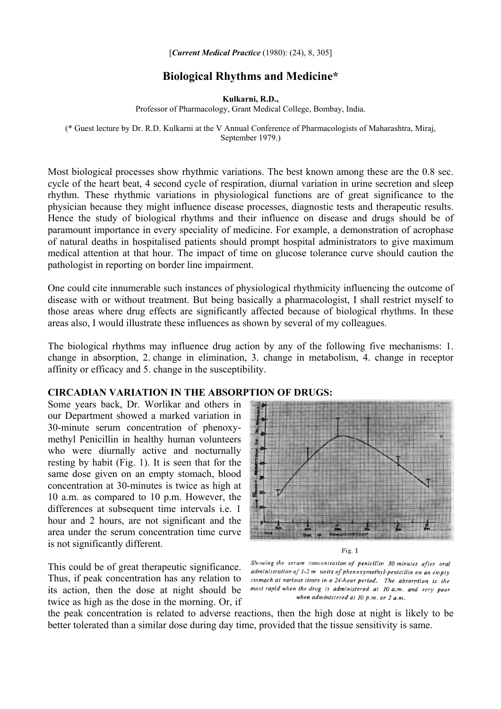## [*Current Medical Practice* (1980): (24), 8, 305]

## **Biological Rhythms and Medicine\***

**Kulkarni, R.D.,**

Professor of Pharmacology, Grant Medical College, Bombay, India.

(\* Guest lecture by Dr. R.D. Kulkarni at the V Annual Conference of Pharmacologists of Maharashtra, Miraj, September 1979.)

Most biological processes show rhythmic variations. The best known among these are the 0.8 sec. cycle of the heart beat, 4 second cycle of respiration, diurnal variation in urine secretion and sleep rhythm. These rhythmic variations in physiological functions are of great significance to the physician because they might influence disease processes, diagnostic tests and therapeutic results. Hence the study of biological rhythms and their influence on disease and drugs should be of paramount importance in every speciality of medicine. For example, a demonstration of acrophase of natural deaths in hospitalised patients should prompt hospital administrators to give maximum medical attention at that hour. The impact of time on glucose tolerance curve should caution the pathologist in reporting on border line impairment.

One could cite innumerable such instances of physiological rhythmicity influencing the outcome of disease with or without treatment. But being basically a pharmacologist, I shall restrict myself to those areas where drug effects are significantly affected because of biological rhythms. In these areas also, I would illustrate these influences as shown by several of my colleagues.

The biological rhythms may influence drug action by any of the following five mechanisms: 1. change in absorption, 2. change in elimination, 3. change in metabolism, 4. change in receptor affinity or efficacy and 5. change in the susceptibility.

## **CIRCADIAN VARIATION IN THE ABSORPTION OF DRUGS:**

Some years back, Dr. Worlikar and others in our Department showed a marked variation in 30-minute serum concentration of phenoxymethyl Penicillin in healthy human volunteers who were diurnally active and nocturnally resting by habit (Fig. 1). It is seen that for the same dose given on an empty stomach, blood concentration at 30-minutes is twice as high at 10 a.m. as compared to 10 p.m. However, the differences at subsequent time intervals i.e. 1 hour and 2 hours, are not significant and the area under the serum concentration time curve is not significantly different.

This could be of great therapeutic significance. Thus, if peak concentration has any relation to its action, then the dose at night should be twice as high as the dose in the morning. Or, if



Fig. 1

Showing the serum concentration of penicillin 30 minutes after oral administration of 1-2 m units of phenoxymethyl-penicillin on an empty stomach at various times in a 24-hour period. The absorption is the most rapid when the drug is administered at 10 a.m. and very poor when administered at  $10$  p.m. or  $2$  a.m.

the peak concentration is related to adverse reactions, then the high dose at night is likely to be better tolerated than a similar dose during day time, provided that the tissue sensitivity is same.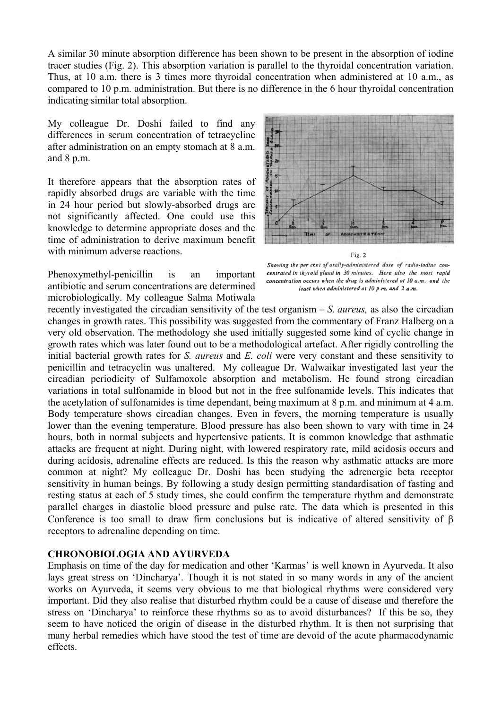A similar 30 minute absorption difference has been shown to be present in the absorption of iodine tracer studies (Fig. 2). This absorption variation is parallel to the thyroidal concentration variation. Thus, at 10 a.m. there is 3 times more thyroidal concentration when administered at 10 a.m., as compared to 10 p.m. administration. But there is no difference in the 6 hour thyroidal concentration indicating similar total absorption.

My colleague Dr. Doshi failed to find any differences in serum concentration of tetracycline after administration on an empty stomach at 8 a.m. and 8 p.m.

It therefore appears that the absorption rates of rapidly absorbed drugs are variable with the time in 24 hour period but slowly-absorbed drugs are not significantly affected. One could use this knowledge to determine appropriate doses and the time of administration to derive maximum benefit with minimum adverse reactions.

Phenoxymethyl-penicillin is an important antibiotic and serum concentrations are determined microbiologically. My colleague Salma Motiwala



Showing the per cent of orally-administered dose of radio-iodine concentrated in thyroid gland in 30 minutes. Here also the most rapid concentration occurs when the drug is administered at 10 a.m. and the least when administered at 10 p.m. and 2 a.m.

recently investigated the circadian sensitivity of the test organism – *S. aureus,* as also the circadian changes in growth rates. This possibility was suggested from the commentary of Franz Halberg on a very old observation. The methodology she used initially suggested some kind of cyclic change in growth rates which was later found out to be a methodological artefact. After rigidly controlling the initial bacterial growth rates for *S. aureus* and *E. coli* were very constant and these sensitivity to penicillin and tetracyclin was unaltered. My colleague Dr. Walwaikar investigated last year the circadian periodicity of Sulfamoxole absorption and metabolism. He found strong circadian variations in total sulfonamide in blood but not in the free sulfonamide levels. This indicates that the acetylation of sulfonamides is time dependant, being maximum at 8 p.m. and minimum at 4 a.m. Body temperature shows circadian changes. Even in fevers, the morning temperature is usually lower than the evening temperature. Blood pressure has also been shown to vary with time in 24 hours, both in normal subjects and hypertensive patients. It is common knowledge that asthmatic attacks are frequent at night. During night, with lowered respiratory rate, mild acidosis occurs and during acidosis, adrenaline effects are reduced. Is this the reason why asthmatic attacks are more common at night? My colleague Dr. Doshi has been studying the adrenergic beta receptor sensitivity in human beings. By following a study design permitting standardisation of fasting and resting status at each of 5 study times, she could confirm the temperature rhythm and demonstrate parallel charges in diastolic blood pressure and pulse rate. The data which is presented in this Conference is too small to draw firm conclusions but is indicative of altered sensitivity of β receptors to adrenaline depending on time.

## **CHRONOBIOLOGIA AND AYURVEDA**

Emphasis on time of the day for medication and other 'Karmas' is well known in Ayurveda. It also lays great stress on 'Dincharya'. Though it is not stated in so many words in any of the ancient works on Ayurveda, it seems very obvious to me that biological rhythms were considered very important. Did they also realise that disturbed rhythm could be a cause of disease and therefore the stress on 'Dincharya' to reinforce these rhythms so as to avoid disturbances? If this be so, they seem to have noticed the origin of disease in the disturbed rhythm. It is then not surprising that many herbal remedies which have stood the test of time are devoid of the acute pharmacodynamic effects.